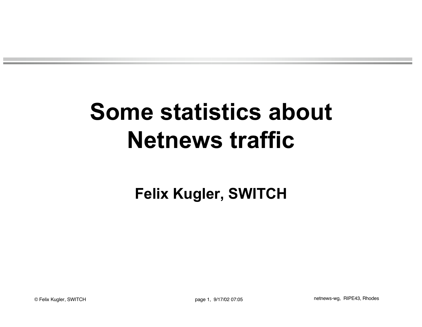# **Some statistics about Netnews traffic**

#### **Felix Kugler, SWITCH**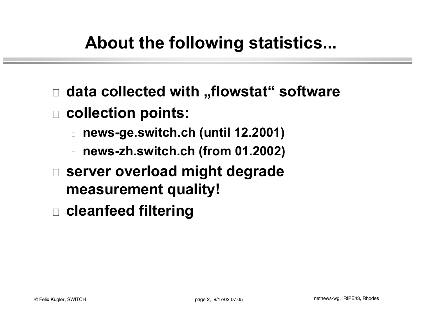# **About the following statistics...**

- □ data collected with "flowstat" software
- □ collection points:
	- <sup>o</sup> **news-ge.switch.ch (until 12.2001)**
	- <sup>o</sup> **news-zh.switch.ch (from 01.2002)**
- □ server overload might degrade **measurement quality!**
- <sup>o</sup> **cleanfeed filtering**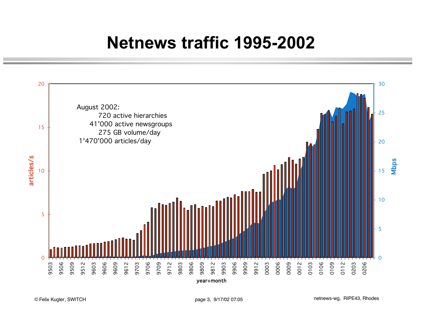## **Netnews traffic 1995-2002**

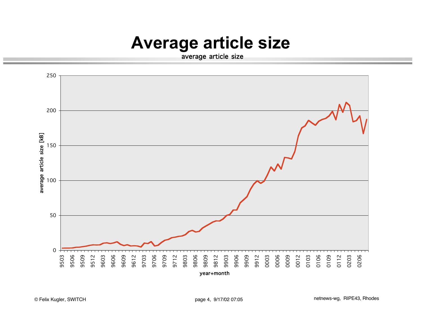### **Average article size**

average article size

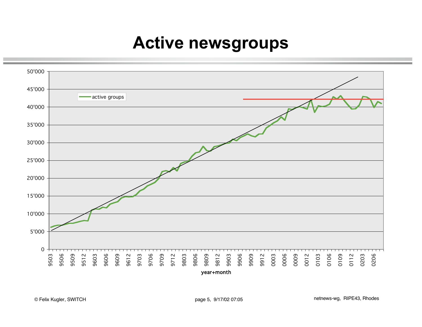#### **Active newsgroups**

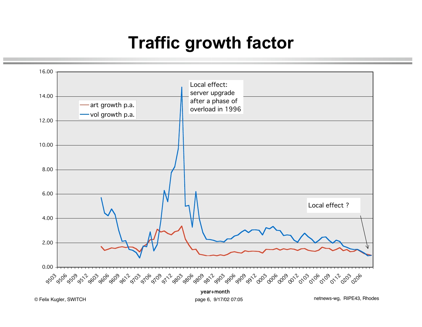## **Traffic growth factor**



© Felix Kugler, SWITCH **Example 2018** Page 6, 9/17/02 07:05 **CONFEDENT PAGES** Page 6, 9/17/02 07:05